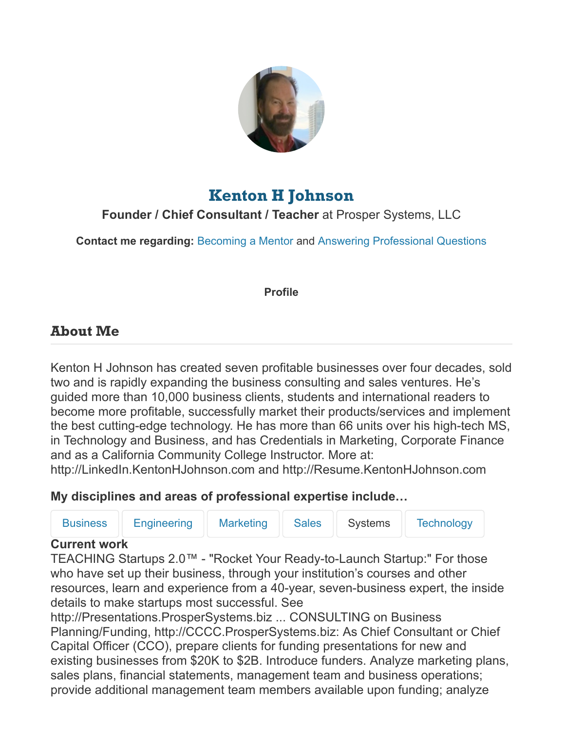

# **[Kenton H Johnson](https://chroniclevitae.com/people/672686-kenton-h-johnson)**

**Founder / Chief Consultant / Teacher** at Prosper Systems, LLC

**Contact me regarding:** [Becoming a Mentor](https://chroniclevitae.com/conversations?id=672686) and [Answering Professional Questions](https://chroniclevitae.com/conversations?id=672686)

#### **Profile**

# **About Me**

Kenton H Johnson has created seven profitable businesses over four decades, sold two and is rapidly expanding the business consulting and sales ventures. He's guided more than 10,000 business clients, students and international readers to become more profitable, successfully market their products/services and implement the best cutting-edge technology. He has more than 66 units over his high-tech MS, in Technology and Business, and has Credentials in Marketing, Corporate Finance and as a California Community College Instructor. More at:

http://LinkedIn.KentonHJohnson.com and http://Resume.KentonHJohnson.com

# **My disciplines and areas of professional expertise include…**

| <b>Business</b>                                                                   | <b>Engineering</b>                            | <b>Marketing</b> | <b>Sales</b> | <b>Systems</b> | <b>Technology</b> |  |  |  |  |
|-----------------------------------------------------------------------------------|-----------------------------------------------|------------------|--------------|----------------|-------------------|--|--|--|--|
| <b>Current work</b>                                                               |                                               |                  |              |                |                   |  |  |  |  |
| TEACHING Startups 2.0™ - "Rocket Your Ready-to-Launch Startup:" For those         |                                               |                  |              |                |                   |  |  |  |  |
| who have set up their business, through your institution's courses and other      |                                               |                  |              |                |                   |  |  |  |  |
| resources, learn and experience from a 40-year, seven-business expert, the inside |                                               |                  |              |                |                   |  |  |  |  |
|                                                                                   | details to make startups most successful. See |                  |              |                |                   |  |  |  |  |

http://Presentations.ProsperSystems.biz ... CONSULTING on Business Planning/Funding, http://CCCC.ProsperSystems.biz: As Chief Consultant or Chief Capital Officer (CCO), prepare clients for funding presentations for new and existing businesses from \$20K to \$2B. Introduce funders. Analyze marketing plans, sales plans, financial statements, management team and business operations; provide additional management team members available upon funding; analyze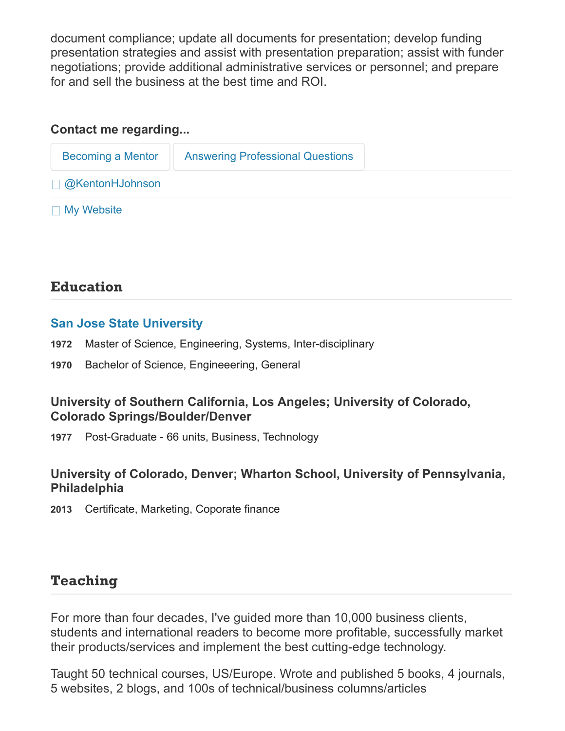document compliance; update all documents for presentation; develop funding presentation strategies and assist with presentation preparation; assist with funder negotiations; provide additional administrative services or personnel; and prepare for and sell the business at the best time and ROI.

#### **Contact me regarding...**

| Becoming a Mentor      | <b>Answering Professional Questions</b> |
|------------------------|-----------------------------------------|
| $\Box$ @KentonHJohnson |                                         |
| $\Box$ My Website      |                                         |

# **Education**

#### **[San Jose State University](https://chroniclevitae.com/institutions/2841)**

- **1972** Master of Science, Engineering, Systems, Inter-disciplinary
- **1970** Bachelor of Science, Engineeering, General

#### **University of Southern California, Los Angeles; University of Colorado, Colorado Springs/Boulder/Denver**

**1977** Post-Graduate - 66 units, Business, Technology

#### **University of Colorado, Denver; Wharton School, University of Pennsylvania, Philadelphia**

**2013** Certificate, Marketing, Coporate finance

# **Teaching**

For more than four decades, I've guided more than 10,000 business clients, students and international readers to become more profitable, successfully market their products/services and implement the best cutting-edge technology.

Taught 50 technical courses, US/Europe. Wrote and published 5 books, 4 journals, 5 websites, 2 blogs, and 100s of technical/business columns/articles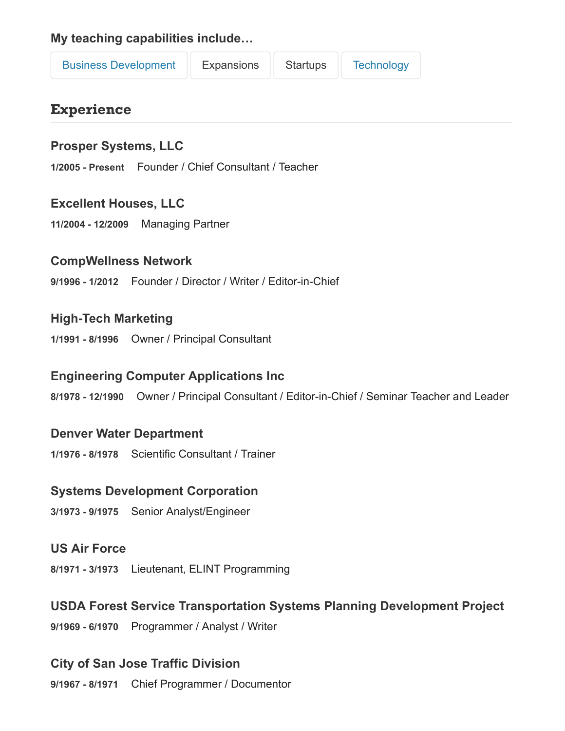**My teaching capabilities include…**

| <b>Business Development</b> | Expansions | Startups | Technology |
|-----------------------------|------------|----------|------------|
|-----------------------------|------------|----------|------------|

# **Experience**

### **Prosper Systems, LLC**

**1/2005 - Present** Founder / Chief Consultant / Teacher

#### **Excellent Houses, LLC**

**11/2004 - 12/2009** Managing Partner

#### **CompWellness Network**

**9/1996 - 1/2012** Founder / Director / Writer / Editor-in-Chief

### **High-Tech Marketing**

**1/1991 - 8/1996** Owner / Principal Consultant

#### **Engineering Computer Applications Inc**

**8/1978 - 12/1990** Owner / Principal Consultant / Editor-in-Chief / Seminar Teacher and Leader

#### **Denver Water Department**

**1/1976 - 8/1978** Scientific Consultant / Trainer

#### **Systems Development Corporation**

**3/1973 - 9/1975** Senior Analyst/Engineer

#### **US Air Force**

**8/1971 - 3/1973** Lieutenant, ELINT Programming

### **USDA Forest Service Transportation Systems Planning Development Project**

**9/1969 - 6/1970** Programmer / Analyst / Writer

### **City of San Jose Traffic Division**

**9/1967 - 8/1971** Chief Programmer / Documentor